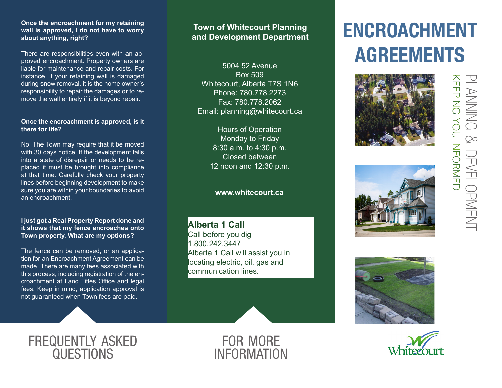## **Once the encroachment for my retaining wall is approved, I do not have to worry about anything, right?**

There are responsibilities even with an approved encroachment. Property owners are liable for maintenance and repair costs. For instance, if your retaining wall is damaged during snow removal, it is the home owner's responsibility to repair the damages or to remove the wall entirely if it is beyond repair.

#### **Once the encroachment is approved, is it there for life?**

No. The Town may require that it be moved with 30 days notice. If the development falls into a state of disrepair or needs to be replaced it must be brought into compliance at that time. Carefully check your property lines before beginning development to make sure you are within your boundaries to avoid an encroachment.

## **I just got a Real Property Report done and it shows that my fence encroaches onto Town property. What are my options?**

The fence can be removed, or an application for an Encroachment Agreement can be made. There are many fees associated with this process, including registration of the encroachment at Land Titles Office and legal fees. Keep in mind, application approval is not guaranteed when Town fees are paid.

## **Town of Whitecourt Planning and Development Department**

5004 52 Avenue Box 509 Whitecourt, Alberta T7S 1N6 Phone: 780.778.2273 Fax: 780.778.2062 Email: planning@whitecourt.ca

> Hours of Operation Monday to Friday 8:30 a.m. to 4:30 p.m. Closed between 12 noon and 12:30 p.m.

## **www.whitecourt.ca**

**Alberta 1 Call** Call before you dig 1.800.242.3447 Alberta 1 Call will assist you in locating electric, oil, gas and communication lines.

# ENCROACHMENT AGREEMENTS









frequently asked **QUESTIONS**